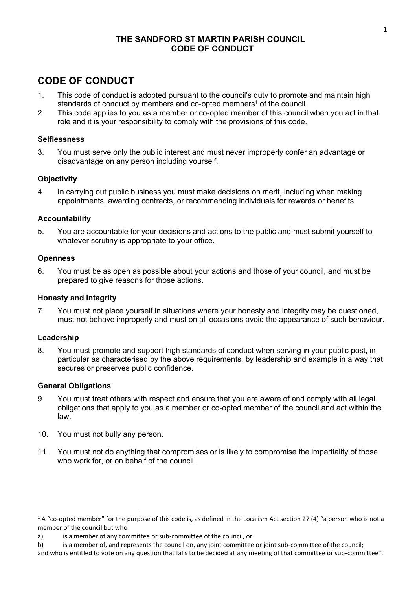## **THE SANDFORD ST MARTIN PARISH COUNCIL CODE OF CONDUCT**

# **CODE OF CONDUCT**

- 1. This code of conduct is adopted pursuant to the council's duty to promote and maintain high standards of conduct by members and co-opted members<sup>1</sup> of the council.
- 2. This code applies to you as a member or co-opted member of this council when you act in that role and it is your responsibility to comply with the provisions of this code.

## **Selflessness**

3. You must serve only the public interest and must never improperly confer an advantage or disadvantage on any person including yourself.

## **Objectivity**

4. In carrying out public business you must make decisions on merit, including when making appointments, awarding contracts, or recommending individuals for rewards or benefits.

## **Accountability**

5. You are accountable for your decisions and actions to the public and must submit yourself to whatever scrutiny is appropriate to your office.

#### **Openness**

6. You must be as open as possible about your actions and those of your council, and must be prepared to give reasons for those actions.

#### **Honesty and integrity**

7. You must not place yourself in situations where your honesty and integrity may be questioned, must not behave improperly and must on all occasions avoid the appearance of such behaviour.

#### **Leadership**

8. You must promote and support high standards of conduct when serving in your public post, in particular as characterised by the above requirements, by leadership and example in a way that secures or preserves public confidence.

## **General Obligations**

- 9. You must treat others with respect and ensure that you are aware of and comply with all legal obligations that apply to you as a member or co-opted member of the council and act within the law.
- 10. You must not bully any person.
- 11. You must not do anything that compromises or is likely to compromise the impartiality of those who work for, or on behalf of the council.

 $1A$  "co-opted member" for the purpose of this code is, as defined in the Localism Act section 27 (4) "a person who is not a member of the council but who

a) is a member of any committee or sub-committee of the council, or

b) is a member of, and represents the council on, any joint committee or joint sub-committee of the council;

and who is entitled to vote on any question that falls to be decided at any meeting of that committee or sub-committee".